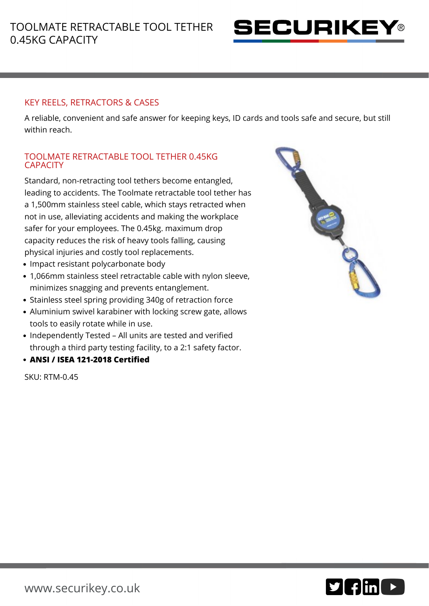

## KEY REELS, RETRACTORS & CASES

A reliable, convenient and safe answer for keeping keys, ID cards and tools safe and secure, but still within reach.

## TOOLMATE RETRACTABLE TOOL TETHER 0.45KG **CAPACITY**

Standard, non-retracting tool tethers become entangled, leading to accidents. The Toolmate retractable tool tether has a 1,500mm stainless steel cable, which stays retracted when not in use, alleviating accidents and making the workplace safer for your employees. The 0.45kg. maximum drop capacity reduces the risk of heavy tools falling, causing physical injuries and costly tool replacements.

- Impact resistant polycarbonate body
- 1,066mm stainless steel retractable cable with nylon sleeve, minimizes snagging and prevents entanglement.
- Stainless steel spring providing 340g of retraction force
- Aluminium swivel karabiner with locking screw gate, allows tools to easily rotate while in use.
- Independently Tested All units are tested and verified through a third party testing facility, to a 2:1 safety factor.
- **ANSI / ISEA 121-2018 Certified**

SKU: RTM-0.45

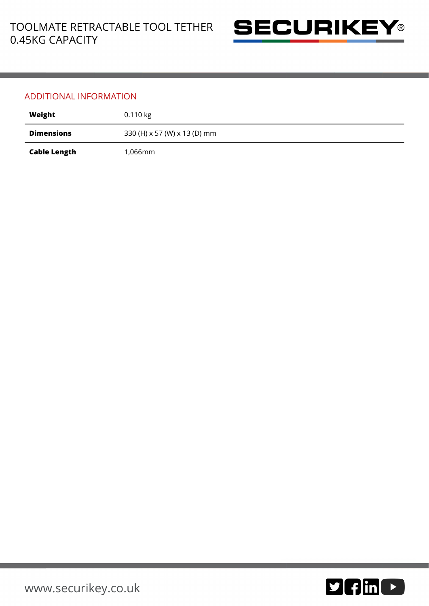

## ADDITIONAL INFORMATION

| Weight              | $0.110$ kg                   |
|---------------------|------------------------------|
| <b>Dimensions</b>   | 330 (H) x 57 (W) x 13 (D) mm |
| <b>Cable Length</b> | 1,066mm                      |